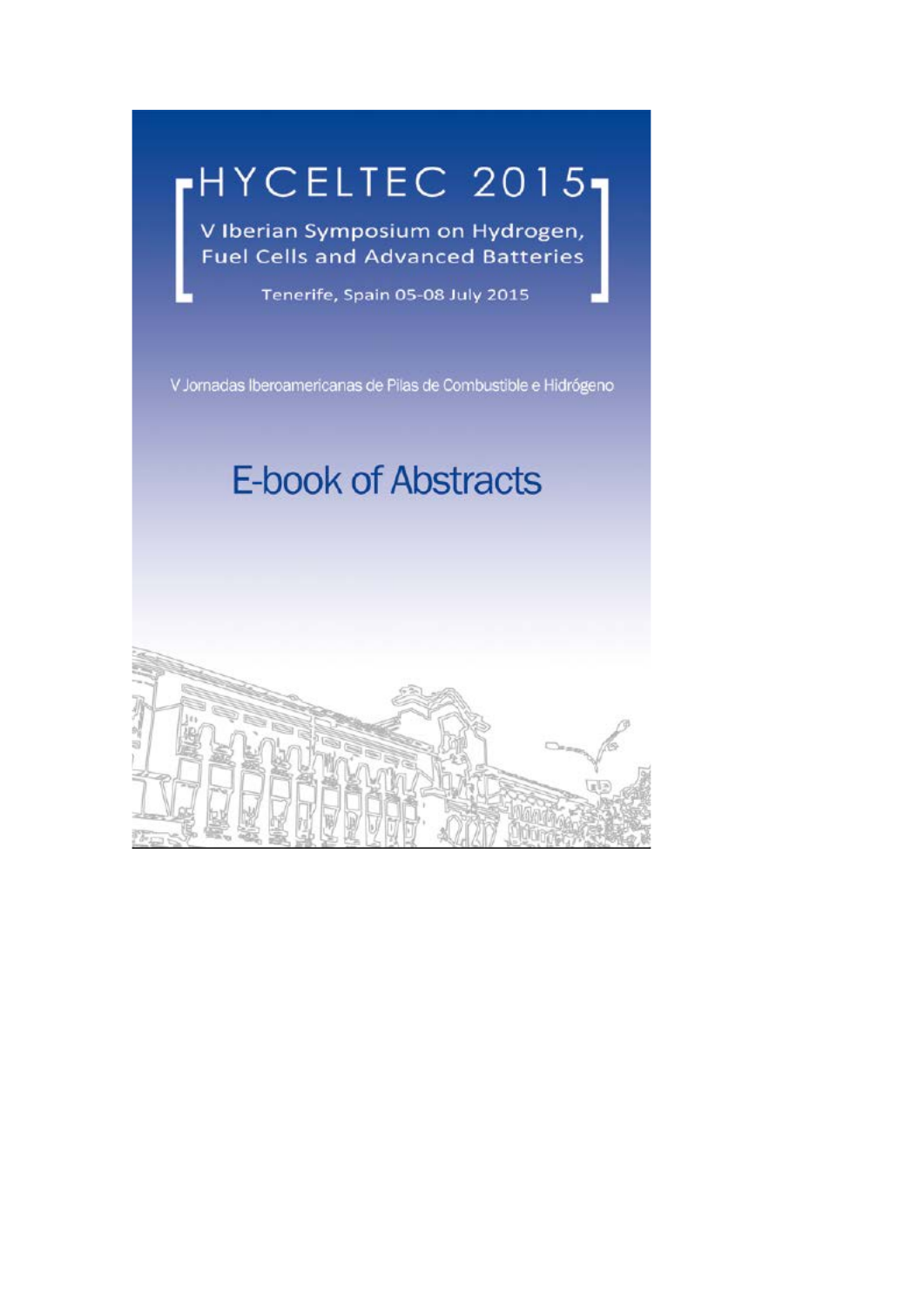# HYCELTEC 2015-

V Iberian Symposium on Hydrogen, Fuel Cells and Advanced Batteries

Tenerife, Spain 05-08 July 2015

V Jornadas Iberoamericanas de Pilas de Combustible e Hidrógeno

# **E-book of Abstracts**

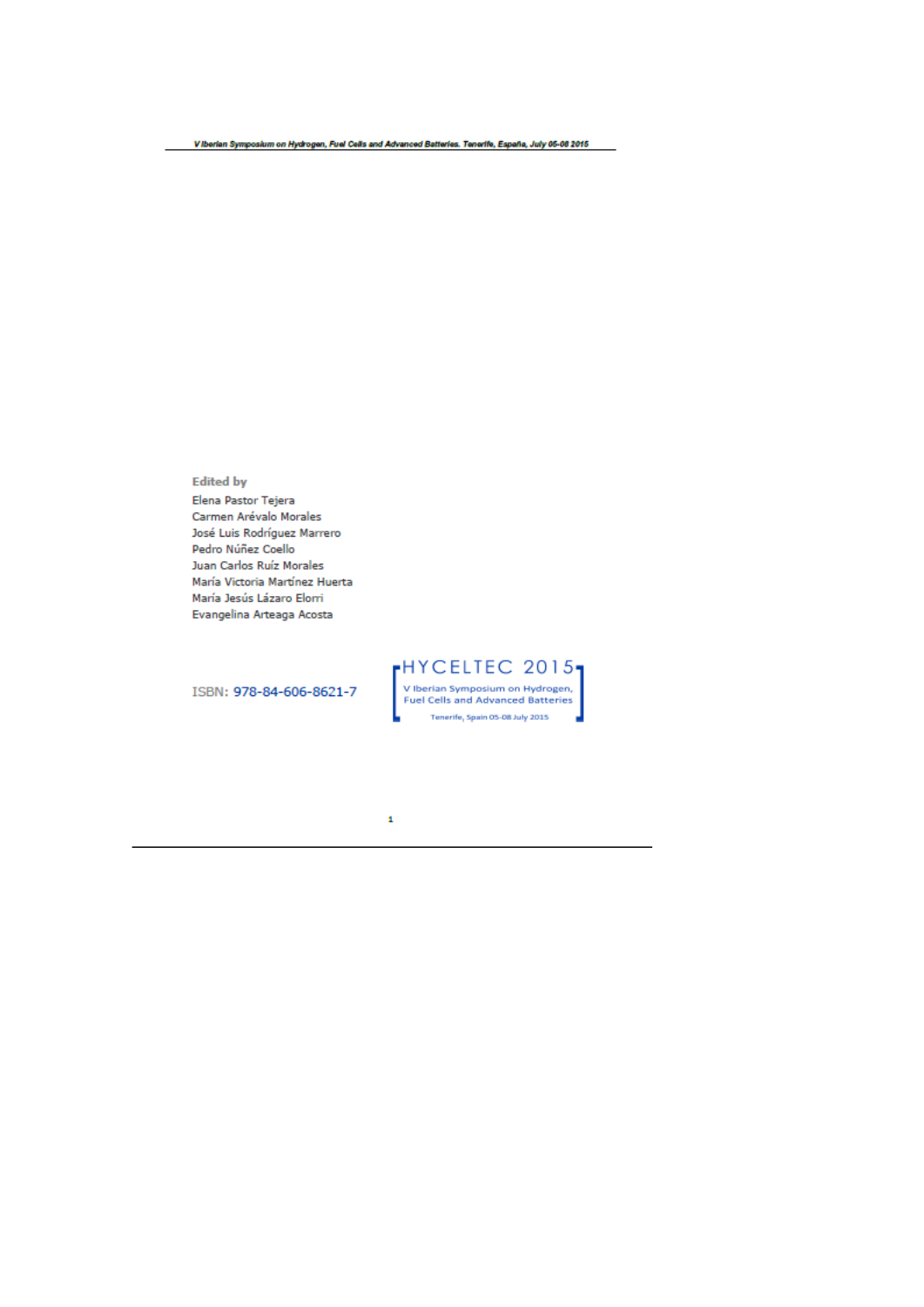**Edited by** 

Elena Pastor Tejera Carmen Arévalo Morales José Luis Rodríguez Marrero Pedro Núñez Coello Juan Carlos Ruíz Morales María Victoria Martínez Huerta María Jesús Lázaro Elorri Evangelina Arteaga Acosta

ISBN: 978-84-606-8621-7

 $\left[\begin{array}{l} \text{H} \text{Y} \text{C} \text{E} \text{L} \text{TE} \text{C} \text{--} 2015 \\ \text{v Iberian Symposium on Hydrogen,} \\ \text{Fuel Cells and Advanced Batteries} \\ \text{Tenerife, Spain OS-OS July 2035} \end{array}\right]$ 

 $\pmb{\mathfrak{t}}$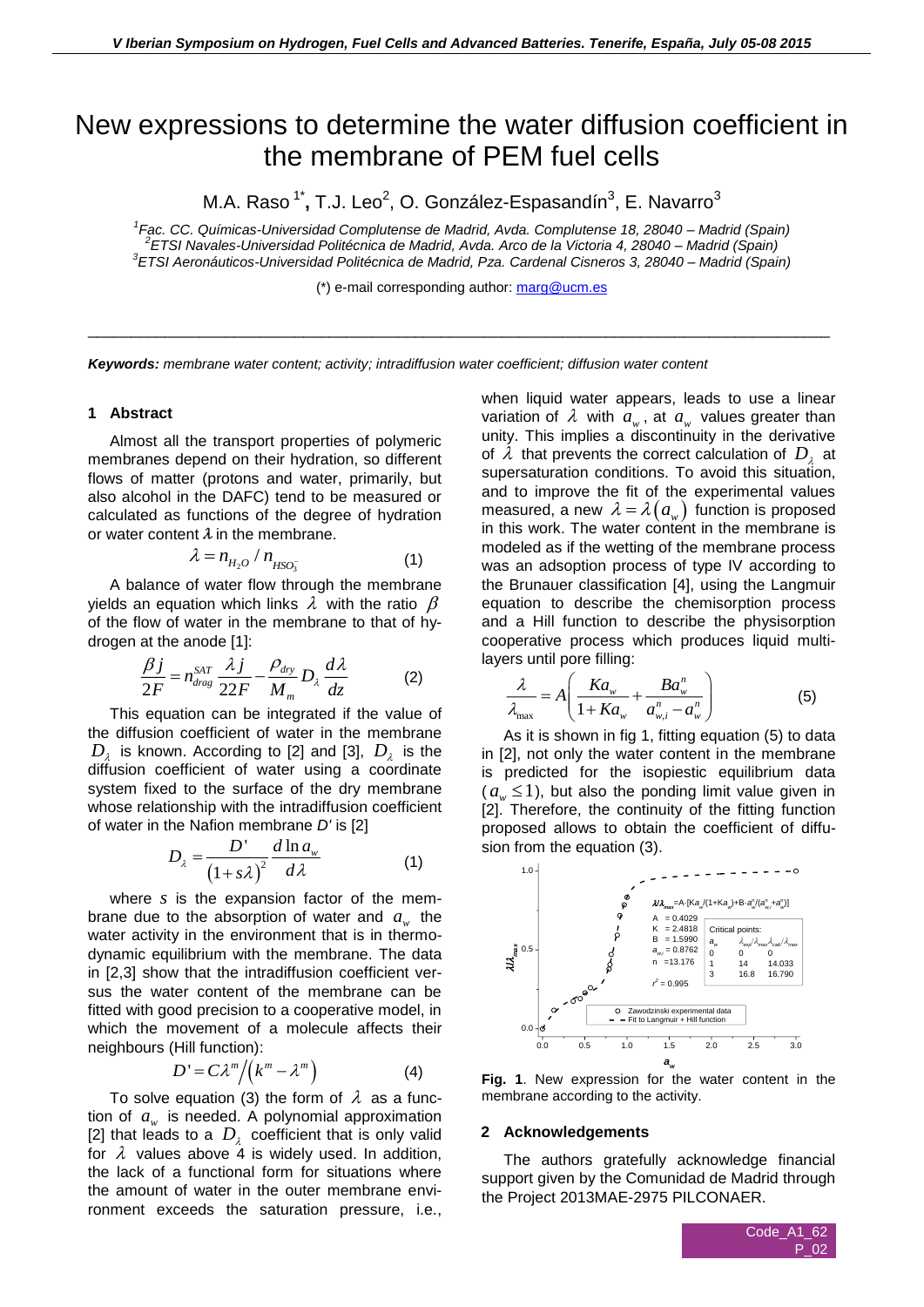# New expressions to determine the water diffusion coefficient in the membrane of PEM fuel cells

M.A. Raso <sup>1\*</sup>, T.J. Leo<sup>2</sup>, O. González-Espasandín<sup>3</sup>, E. Navarro<sup>3</sup>

*1 Fac. CC. Químicas-Universidad Complutense de Madrid, Avda. Complutense 18, 28040 – Madrid (Spain) 2 ETSI Navales-Universidad Politécnica de Madrid, Avda. Arco de la Victoria 4, 28040 – Madrid (Spain) 3 ETSI Aeronáuticos-Universidad Politécnica de Madrid, Pza. Cardenal Cisneros 3, 28040 – Madrid (Spain)*

(\*) e-mail corresponding author: [marg@ucm.es](mailto:marg@ucm.es)

\_\_\_\_\_\_\_\_\_\_\_\_\_\_\_\_\_\_\_\_\_\_\_\_\_\_\_\_\_\_\_\_\_\_\_\_\_\_\_\_\_\_\_\_\_\_\_\_\_\_\_\_\_\_\_\_\_\_\_\_\_\_\_\_\_\_\_\_\_\_\_\_\_\_\_\_\_\_\_\_\_\_\_\_\_\_

*Keywords: membrane water content; activity; intradiffusion water coefficient; diffusion water content*

## **1 Abstract**

Almost all the transport properties of polymeric membranes depend on their hydration, so different flows of matter (protons and water, primarily, but also alcohol in the DAFC) tend to be measured or calculated as functions of the degree of hydration or water content  $\lambda$  in the membrane.

$$
\lambda = n_{H_2O} / n_{HSO_3^-}
$$
 (1)

A balance of water flow through the membrane yields an equation which links  $\lambda$  with the ratio  $\,\beta$ of the flow of water in the membrane to that of hydrogen at the anode [1]:

$$
\frac{\beta j}{2F} = n_{drag}^{SAT} \frac{\lambda j}{22F} - \frac{\rho_{dry}}{M_m} D_{\lambda} \frac{d\lambda}{dz}
$$
 (2)

This equation can be integrated if the value of the diffusion coefficient of water in the membrane  $D_{\lambda}^{\parallel}$  is known. According to [2] and [3],  $D_{\lambda}^{\parallel}$  is the diffusion coefficient of water using a coordinate system fixed to the surface of the dry membrane whose relationship with the intradiffusion coefficient of water in the Nafion membrane *D'* is [2]

$$
D_{\lambda} = \frac{D'}{\left(1 + s\lambda\right)^2} \frac{d \ln a_w}{d \lambda} \tag{1}
$$

where *s* is the expansion factor of the membrane due to the absorption of water and  $a_{w}$  the water activity in the environment that is in thermodynamic equilibrium with the membrane. The data in [2,3] show that the intradiffusion coefficient versus the water content of the membrane can be fitted with good precision to a cooperative model, in which the movement of a molecule affects their neighbours (Hill function):

$$
D' = C\lambda^m / (k^m - \lambda^m)
$$
 (4)

To solve equation (3) the form of  $\lambda$  as a function of  $a_w$  is needed. A polynomial approximation [2] that leads to a  $D_{\lambda}$  coefficient that is only valid for  $\lambda$  values above 4 is widely used. In addition, the lack of a functional form for situations where the amount of water in the outer membrane environment exceeds the saturation pressure, i.e.,

when liquid water appears, leads to use a linear variation of  $\lambda$  with  $a_w$ , at  $a_w$  values greater than unity. This implies a discontinuity in the derivative of  $\lambda$  that prevents the correct calculation of  $D_{\lambda}$  at supersaturation conditions. To avoid this situation, and to improve the fit of the experimental values measured, a new  $\lambda = \lambda\big(a_{\mathrm{w}}\big)$  function is proposed in this work. The water content in the membrane is modeled as if the wetting of the membrane process was an adsoption process of type IV according to the Brunauer classification [4], using the Langmuir equation to describe the chemisorption process and a Hill function to describe the physisorption cooperative process which produces liquid multilayers until pore filling:

$$
\frac{\lambda}{\lambda_{\max}} = A \left( \frac{Ka_w}{1 + Ka_w} + \frac{Ba_w^n}{a_{w,i}^n - a_w^n} \right) \tag{5}
$$

As it is shown in fig 1, fitting equation (5) to data in [2], not only the water content in the membrane is predicted for the isopiestic equilibrium data  $(a_{w} \leq 1)$ , but also the ponding limit value given in [2]. Therefore, the continuity of the fitting function proposed allows to obtain the coefficient of diffusion from the equation (3).



**Fig. 1**. New expression for the water content in the membrane according to the activity.

### **2 Acknowledgements**

The authors gratefully acknowledge financial support given by the Comunidad de Madrid through the Project 2013MAE-2975 PILCONAER.